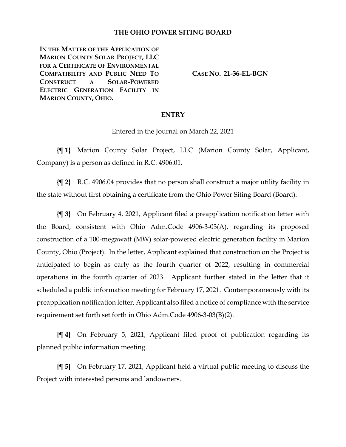### **THE OHIO POWER SITING BOARD**

**IN THE MATTER OF THE APPLICATION OF MARION COUNTY SOLAR PROJECT, LLC FOR A CERTIFICATE OF ENVIRONMENTAL COMPATIBILITY AND PUBLIC NEED TO CONSTRUCT A SOLAR-POWERED ELECTRIC GENERATION FACILITY IN MARION COUNTY, OHIO.**

**CASE NO. 21-36-EL-BGN**

#### **ENTRY**

Entered in the Journal on March 22, 2021

**{¶ 1}** Marion County Solar Project, LLC (Marion County Solar, Applicant, Company) is a person as defined in R.C. 4906.01.

**{¶ 2}** R.C. 4906.04 provides that no person shall construct a major utility facility in the state without first obtaining a certificate from the Ohio Power Siting Board (Board).

**{¶ 3}** On February 4, 2021, Applicant filed a preapplication notification letter with the Board, consistent with Ohio Adm.Code 4906-3-03(A), regarding its proposed construction of a 100-megawatt (MW) solar-powered electric generation facility in Marion County, Ohio (Project). In the letter, Applicant explained that construction on the Project is anticipated to begin as early as the fourth quarter of 2022, resulting in commercial operations in the fourth quarter of 2023. Applicant further stated in the letter that it scheduled a public information meeting for February 17, 2021. Contemporaneously with its preapplication notification letter, Applicant also filed a notice of compliance with the service requirement set forth set forth in Ohio Adm.Code 4906-3-03(B)(2).

**{¶ 4}** On February 5, 2021, Applicant filed proof of publication regarding its planned public information meeting.

**{¶ 5}** On February 17, 2021, Applicant held a virtual public meeting to discuss the Project with interested persons and landowners.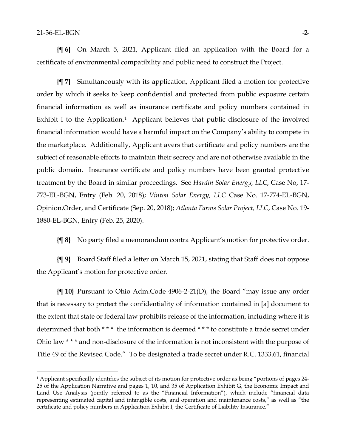**{¶ 6}** On March 5, 2021, Applicant filed an application with the Board for a certificate of environmental compatibility and public need to construct the Project.

**{¶ 7}** Simultaneously with its application, Applicant filed a motion for protective order by which it seeks to keep confidential and protected from public exposure certain financial information as well as insurance certificate and policy numbers contained in Exhibit I to the Application.<sup>[1](#page-1-0)</sup> Applicant believes that public disclosure of the involved financial information would have a harmful impact on the Company's ability to compete in the marketplace. Additionally, Applicant avers that certificate and policy numbers are the subject of reasonable efforts to maintain their secrecy and are not otherwise available in the public domain. Insurance certificate and policy numbers have been granted protective treatment by the Board in similar proceedings. See *Hardin Solar Energy, LLC*, Case No, 17- 773-EL-BGN, Entry (Feb. 20, 2018); *Vinton Solar Energy, LLC* Case No. 17-774-EL-BGN, Opinion,Order, and Certificate (Sep. 20, 2018); *Atlanta Farms Solar Project, LLC*, Case No. 19- 1880-EL-BGN, Entry (Feb. 25, 2020).

**{¶ 8}** No party filed a memorandum contra Applicant's motion for protective order.

**{¶ 9}** Board Staff filed a letter on March 15, 2021, stating that Staff does not oppose the Applicant's motion for protective order.

**{¶ 10}** Pursuant to Ohio Adm.Code 4906-2-21(D), the Board "may issue any order that is necessary to protect the confidentiality of information contained in [a] document to the extent that state or federal law prohibits release of the information, including where it is determined that both \* \* \* the information is deemed \* \* \* to constitute a trade secret under Ohio law \* \* \* and non-disclosure of the information is not inconsistent with the purpose of Title 49 of the Revised Code." To be designated a trade secret under R.C. 1333.61, financial

<span id="page-1-0"></span><sup>&</sup>lt;sup>1</sup> Applicant specifically identifies the subject of its motion for protective order as being "portions of pages 24-25 of the Application Narrative and pages 1, 10, and 35 of Application Exhibit G, the Economic Impact and Land Use Analysis (jointly referred to as the "Financial Information"), which include "financial data representing estimated capital and intangible costs, and operation and maintenance costs," as well as "the certificate and policy numbers in Application Exhibit I, the Certificate of Liability Insurance."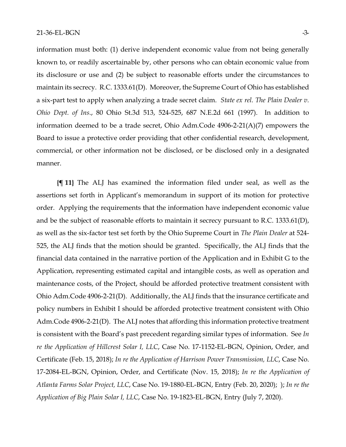information must both: (1) derive independent economic value from not being generally known to, or readily ascertainable by, other persons who can obtain economic value from its disclosure or use and (2) be subject to reasonable efforts under the circumstances to maintain its secrecy. R.C. 1333.61(D). Moreover, the Supreme Court of Ohio has established a six-part test to apply when analyzing a trade secret claim. *State ex rel. The Plain Dealer v. Ohio Dept. of Ins*., 80 Ohio St.3d 513, 524-525, 687 N.E.2d 661 (1997). In addition to information deemed to be a trade secret, Ohio Adm.Code 4906-2-21(A)(7) empowers the Board to issue a protective order providing that other confidential research, development, commercial, or other information not be disclosed, or be disclosed only in a designated manner.

**{¶ 11}** The ALJ has examined the information filed under seal, as well as the assertions set forth in Applicant's memorandum in support of its motion for protective order. Applying the requirements that the information have independent economic value and be the subject of reasonable efforts to maintain it secrecy pursuant to R.C. 1333.61(D), as well as the six-factor test set forth by the Ohio Supreme Court in *The Plain Dealer* at 524- 525, the ALJ finds that the motion should be granted. Specifically, the ALJ finds that the financial data contained in the narrative portion of the Application and in Exhibit G to the Application, representing estimated capital and intangible costs, as well as operation and maintenance costs, of the Project, should be afforded protective treatment consistent with Ohio Adm.Code 4906-2-21(D). Additionally, the ALJ finds that the insurance certificate and policy numbers in Exhibit I should be afforded protective treatment consistent with Ohio Adm.Code 4906-2-21(D). The ALJ notes that affording this information protective treatment is consistent with the Board's past precedent regarding similar types of information. See *In re the Application of Hillcrest Solar I, LLC*, Case No. 17-1152-EL-BGN, Opinion, Order, and Certificate (Feb. 15, 2018); *In re the Application of Harrison Power Transmission, LLC*, Case No. 17-2084-EL-BGN, Opinion, Order, and Certificate (Nov. 15, 2018); *In re the Application of Atlanta Farms Solar Project, LLC*, Case No. 19-1880-EL-BGN, Entry (Feb. 20, 2020); ); *In re the Application of Big Plain Solar I, LLC*, Case No. 19-1823-EL-BGN, Entry (July 7, 2020).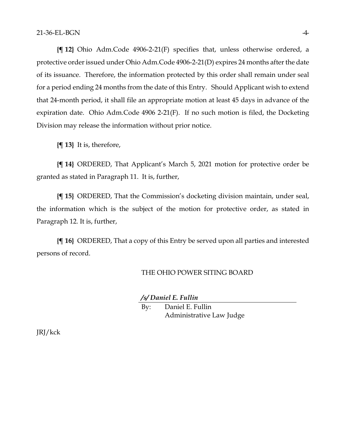**{¶ 12}** Ohio Adm.Code 4906-2-21(F) specifies that, unless otherwise ordered, a protective order issued under Ohio Adm.Code 4906-2-21(D) expires 24 months after the date of its issuance. Therefore, the information protected by this order shall remain under seal for a period ending 24 months from the date of this Entry. Should Applicant wish to extend that 24-month period, it shall file an appropriate motion at least 45 days in advance of the expiration date. Ohio Adm.Code 4906 2-21(F). If no such motion is filed, the Docketing Division may release the information without prior notice.

**{¶ 13}** It is, therefore,

**{¶ 14}** ORDERED, That Applicant's March 5, 2021 motion for protective order be granted as stated in Paragraph 11. It is, further,

**{¶ 15}** ORDERED, That the Commission's docketing division maintain, under seal, the information which is the subject of the motion for protective order, as stated in Paragraph 12. It is, further,

**{¶ 16}** ORDERED, That a copy of this Entry be served upon all parties and interested persons of record.

#### THE OHIO POWER SITING BOARD

*/s/ Daniel E. Fullin*

By: Daniel E. Fullin Administrative Law Judge

JRJ/kck